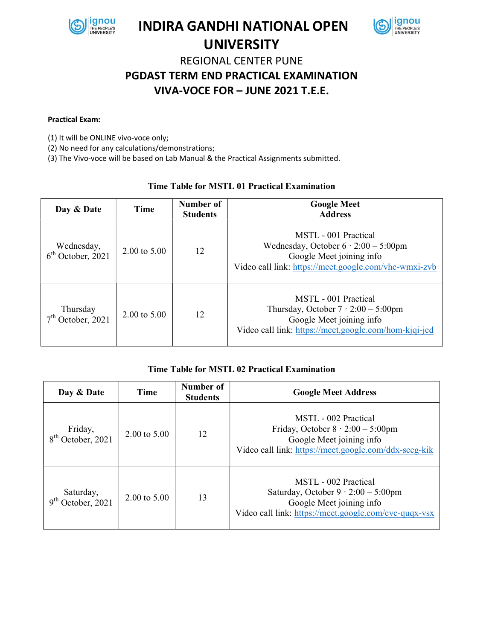

## INDIRA GANDHI NATIONAL OPEN UNIVERSITY



# REGIONAL CENTER PUNE PGDAST TERM END PRACTICAL EXAMINATION VIVA-VOCE FOR – JUNE 2021 T.E.E.

#### Practical Exam:

(1) It will be ONLINE vivo-voce only;

(2) No need for any calculations/demonstrations;

(3) The Vivo-voce will be based on Lab Manual & the Practical Assignments submitted.

### Time Table for MSTL 01 Practical Examination

| Day & Date                        | Time                    | Number of<br><b>Students</b> | <b>Google Meet</b><br><b>Address</b>                                                                                                                     |  |  |
|-----------------------------------|-------------------------|------------------------------|----------------------------------------------------------------------------------------------------------------------------------------------------------|--|--|
| Wednesday,<br>$6th$ October, 2021 | $2.00 \text{ to } 5.00$ | 12                           | MSTL - 001 Practical<br>Wednesday, October $6 \cdot 2:00 - 5:00$ pm<br>Google Meet joining info<br>Video call link: https://meet.google.com/vhc-wmxi-zvb |  |  |
| Thursday<br>October, 2021         | $2.00 \text{ to } 5.00$ | 12                           | MSTL - 001 Practical<br>Thursday, October $7 \cdot 2:00 - 5:00$ pm<br>Google Meet joining info<br>Video call link: https://meet.google.com/hom-kjqi-jed  |  |  |

### Time Table for MSTL 02 Practical Examination

| Day & Date                                    | Time                    | Number of<br><b>Students</b> | <b>Google Meet Address</b>                                                                                                                              |  |  |
|-----------------------------------------------|-------------------------|------------------------------|---------------------------------------------------------------------------------------------------------------------------------------------------------|--|--|
| Friday,<br>October, 2021                      | $2.00 \text{ to } 5.00$ | 12                           | MSTL - 002 Practical<br>Friday, October $8 \cdot 2:00 - 5:00$ pm<br>Google Meet joining info<br>Video call link: https://meet.google.com/ddx-sccg-kik   |  |  |
| Saturday,<br>October, 2021<br>$Q^{\text{th}}$ | 2.00 to 5.00            | 13                           | MSTL - 002 Practical<br>Saturday, October $9 \cdot 2:00 - 5:00$ pm<br>Google Meet joining info<br>Video call link: https://meet.google.com/cyc-quqx-vsx |  |  |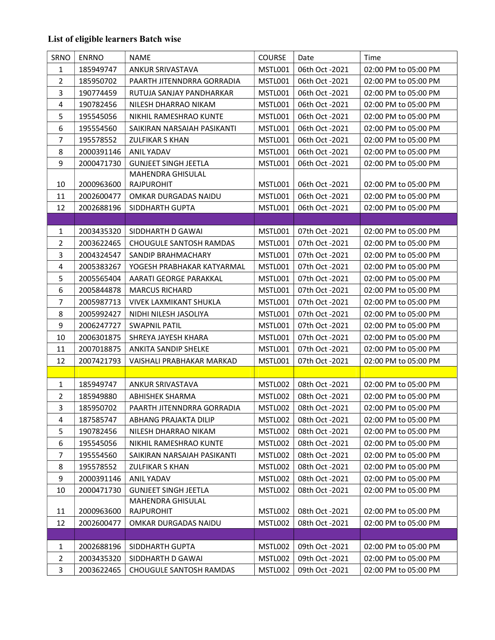### List of eligible learners Batch wise

| SRNO           | <b>ENRNO</b> | <b>NAME</b>                    | <b>COURSE</b>  | Date           | Time                 |
|----------------|--------------|--------------------------------|----------------|----------------|----------------------|
| $\mathbf{1}$   | 185949747    | ANKUR SRIVASTAVA               | MSTL001        | 06th Oct -2021 | 02:00 PM to 05:00 PM |
| $\overline{2}$ | 185950702    | PAARTH JITENNDRRA GORRADIA     | MSTL001        | 06th Oct -2021 | 02:00 PM to 05:00 PM |
| 3              | 190774459    | RUTUJA SANJAY PANDHARKAR       | <b>MSTL001</b> | 06th Oct -2021 | 02:00 PM to 05:00 PM |
| 4              | 190782456    | NILESH DHARRAO NIKAM           | MSTL001        | 06th Oct -2021 | 02:00 PM to 05:00 PM |
| 5              | 195545056    | NIKHIL RAMESHRAO KUNTE         | MSTL001        | 06th Oct -2021 | 02:00 PM to 05:00 PM |
| 6              | 195554560    | SAIKIRAN NARSAIAH PASIKANTI    | MSTL001        | 06th Oct -2021 | 02:00 PM to 05:00 PM |
| 7              | 195578552    | <b>ZULFIKAR S KHAN</b>         | MSTL001        | 06th Oct -2021 | 02:00 PM to 05:00 PM |
| 8              | 2000391146   | <b>ANIL YADAV</b>              | MSTL001        | 06th Oct -2021 | 02:00 PM to 05:00 PM |
| 9              | 2000471730   | <b>GUNJEET SINGH JEETLA</b>    | MSTL001        | 06th Oct -2021 | 02:00 PM to 05:00 PM |
|                |              | MAHENDRA GHISULAL              |                |                |                      |
| 10             | 2000963600   | RAJPUROHIT                     | MSTL001        | 06th Oct -2021 | 02:00 PM to 05:00 PM |
| 11             | 2002600477   | OMKAR DURGADAS NAIDU           | MSTL001        | 06th Oct -2021 | 02:00 PM to 05:00 PM |
| 12             | 2002688196   | SIDDHARTH GUPTA                | MSTL001        | 06th Oct -2021 | 02:00 PM to 05:00 PM |
|                |              |                                |                |                |                      |
| 1              | 2003435320   | SIDDHARTH D GAWAI              | MSTL001        | 07th Oct -2021 | 02:00 PM to 05:00 PM |
| $\overline{2}$ | 2003622465   | <b>CHOUGULE SANTOSH RAMDAS</b> | MSTL001        | 07th Oct -2021 | 02:00 PM to 05:00 PM |
| 3              | 2004324547   | SANDIP BRAHMACHARY             | MSTL001        | 07th Oct -2021 | 02:00 PM to 05:00 PM |
| 4              | 2005383267   | YOGESH PRABHAKAR KATYARMAL     | <b>MSTL001</b> | 07th Oct -2021 | 02:00 PM to 05:00 PM |
| 5              | 2005565404   | AARATI GEORGE PARAKKAL         | MSTL001        | 07th Oct -2021 | 02:00 PM to 05:00 PM |
| 6              | 2005844878   | <b>MARCUS RICHARD</b>          | MSTL001        | 07th Oct -2021 | 02:00 PM to 05:00 PM |
| $\overline{7}$ | 2005987713   | <b>VIVEK LAXMIKANT SHUKLA</b>  | MSTL001        | 07th Oct -2021 | 02:00 PM to 05:00 PM |
| 8              | 2005992427   | NIDHI NILESH JASOLIYA          | MSTL001        | 07th Oct -2021 | 02:00 PM to 05:00 PM |
| 9              | 2006247727   | <b>SWAPNIL PATIL</b>           | MSTL001        | 07th Oct -2021 | 02:00 PM to 05:00 PM |
| 10             | 2006301875   | SHREYA JAYESH KHARA            | MSTL001        | 07th Oct -2021 | 02:00 PM to 05:00 PM |
| 11             | 2007018875   | ANKITA SANDIP SHELKE           | MSTL001        | 07th Oct -2021 | 02:00 PM to 05:00 PM |
| 12             | 2007421793   | VAISHALI PRABHAKAR MARKAD      | MSTL001        | 07th Oct -2021 | 02:00 PM to 05:00 PM |
|                |              |                                |                |                |                      |
| $\mathbf{1}$   | 185949747    | <b>ANKUR SRIVASTAVA</b>        | MSTL002        | 08th Oct -2021 | 02:00 PM to 05:00 PM |
| 2              | 185949880    | <b>ABHISHEK SHARMA</b>         | MSTL002        | 08th Oct -2021 | 02:00 PM to 05:00 PM |
| 3              | 185950702    | PAARTH JITENNDRRA GORRADIA     | MSTL002        | 08th Oct -2021 | 02:00 PM to 05:00 PM |
| 4              | 187585747    | ABHANG PRAJAKTA DILIP          | MSTL002        | 08th Oct -2021 | 02:00 PM to 05:00 PM |
| 5              | 190782456    | NILESH DHARRAO NIKAM           | MSTL002        | 08th Oct -2021 | 02:00 PM to 05:00 PM |
| 6              | 195545056    | NIKHIL RAMESHRAO KUNTE         | MSTL002        | 08th Oct -2021 | 02:00 PM to 05:00 PM |
| 7              | 195554560    | SAIKIRAN NARSAIAH PASIKANTI    | MSTL002        | 08th Oct -2021 | 02:00 PM to 05:00 PM |
| 8              | 195578552    | <b>ZULFIKAR S KHAN</b>         | MSTL002        | 08th Oct -2021 | 02:00 PM to 05:00 PM |
| 9              | 2000391146   | <b>ANIL YADAV</b>              | MSTL002        | 08th Oct -2021 | 02:00 PM to 05:00 PM |
| 10             | 2000471730   | <b>GUNJEET SINGH JEETLA</b>    | MSTL002        | 08th Oct -2021 | 02:00 PM to 05:00 PM |
|                |              | <b>MAHENDRA GHISULAL</b>       |                |                |                      |
| 11             | 2000963600   | RAJPUROHIT                     | MSTL002        | 08th Oct -2021 | 02:00 PM to 05:00 PM |
| 12             | 2002600477   | OMKAR DURGADAS NAIDU           | MSTL002        | 08th Oct -2021 | 02:00 PM to 05:00 PM |
|                |              |                                |                |                |                      |
| 1              | 2002688196   | SIDDHARTH GUPTA                | MSTL002        | 09th Oct -2021 | 02:00 PM to 05:00 PM |
| $\overline{2}$ | 2003435320   | SIDDHARTH D GAWAI              | MSTL002        | 09th Oct -2021 | 02:00 PM to 05:00 PM |
| 3              | 2003622465   | <b>CHOUGULE SANTOSH RAMDAS</b> | MSTL002        | 09th Oct -2021 | 02:00 PM to 05:00 PM |